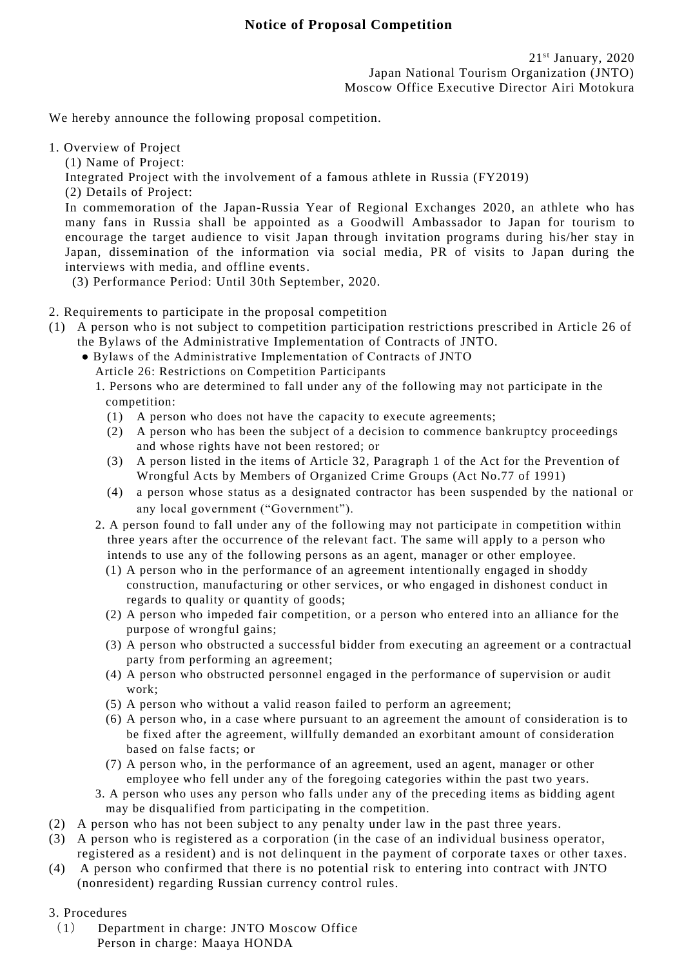We hereby announce the following proposal competition.

1. Overview of Project

(1) Name of Project:

Integrated Project with the involvement of a famous athlete in Russia (FY2019)

(2) Details of Project:

In commemoration of the Japan-Russia Year of Regional Exchanges 2020, an athlete who has many fans in Russia shall be appointed as a Goodwill Ambassador to Japan for tourism to encourage the target audience to visit Japan through invitation programs during his/her stay in Japan, dissemination of the information via social media, PR of visits to Japan during the interviews with media, and offline events.

(3) Performance Period: Until 30th September, 2020.

- 2. Requirements to participate in the proposal competition
- (1) A person who is not subject to competition participation restrictions prescribed in Article 26 of the Bylaws of the Administrative Implementation of Contracts of JNTO.
	- Bylaws of the Administrative Implementation of Contracts of JNTO Article 26: Restrictions on Competition Participants
		- 1. Persons who are determined to fall under any of the following may not participate in the competition:
			- (1) A person who does not have the capacity to execute agreements;
			- (2) A person who has been the subject of a decision to commence bankruptcy proceedings and whose rights have not been restored; or
			- (3) A person listed in the items of Article 32, Paragraph 1 of the Act for the Prevention of Wrongful Acts by Members of Organized Crime Groups (Act No.77 of 1991)
			- (4) a person whose status as a designated contractor has been suspended by the national or any local government ("Government").
		- 2. A person found to fall under any of the following may not particip ate in competition within three years after the occurrence of the relevant fact. The same will apply to a person who intends to use any of the following persons as an agent, manager or other employee.
			- (1) A person who in the performance of an agreement intentionally engaged in shoddy construction, manufacturing or other services, or who engaged in dishonest conduct in regards to quality or quantity of goods;
			- (2) A person who impeded fair competition, or a person who entered into an alliance for the purpose of wrongful gains;
			- (3) A person who obstructed a successful bidder from executing an agreement or a contractual party from performing an agreement;
			- (4) A person who obstructed personnel engaged in the performance of supervision or audit work;
			- (5) A person who without a valid reason failed to perform an agreement;
			- (6) A person who, in a case where pursuant to an agreement the amount of consideration is to be fixed after the agreement, willfully demanded an exorbitant amount of consideration based on false facts; or
			- (7) A person who, in the performance of an agreement, used an agent, manager or other employee who fell under any of the foregoing categories within the past two years.
		- 3. A person who uses any person who falls under any of the preceding items as bidding agent may be disqualified from participating in the competition.
- (2) A person who has not been subject to any penalty under law in the past three years.
- (3) A person who is registered as a corporation (in the case of an individual business operator, registered as a resident) and is not delinquent in the payment of corporate taxes or other taxes.
- (4) A person who confirmed that there is no potential risk to entering into contract with JNTO (nonresident) regarding Russian currency control rules.
- 3. Procedures
	- (1) Department in charge: JNTO Moscow Office Person in charge: Maaya HONDA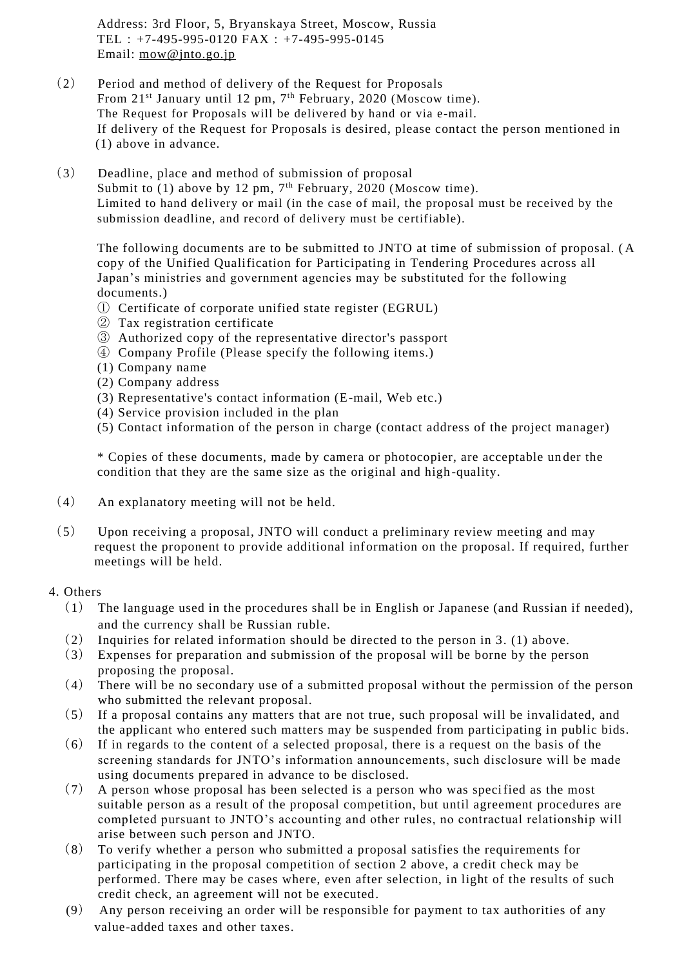Address: 3rd Floor, 5, Bryanskaya Street, Moscow, Russia TEL:+7-495-995-0120 FAX:+7-495-995-0145 Email: [mow@jnto.go.jp](mailto:mow@jnto.go.jp)

- (2) Period and method of delivery of the Request for Proposals From 21<sup>st</sup> January until 12 pm, 7<sup>th</sup> February, 2020 (Moscow time). The Request for Proposals will be delivered by hand or via e-mail. If delivery of the Request for Proposals is desired, please contact the person mentioned in (1) above in advance.
- (3) Deadline, place and method of submission of proposal Submit to (1) above by 12 pm, 7<sup>th</sup> February, 2020 (Moscow time). Limited to hand delivery or mail (in the case of mail, the proposal must be received by the submission deadline, and record of delivery must be certifiable).

The following documents are to be submitted to JNTO at time of submission of proposal. ( A copy of the Unified Qualification for Participating in Tendering Procedures across all Japan's ministries and government agencies may be substituted for the following documents.)

- ① Certificate of corporate unified state register (EGRUL)
- ② Tax registration certificate
- ③ Authorized copy of the representative director's passport
- ④ Company Profile (Please specify the following items.)
- (1) Company name
- (2) Company address
- (3) Representative's contact information (E-mail, Web etc.)
- (4) Service provision included in the plan
- (5) Contact information of the person in charge (contact address of the project manager)

\* Copies of these documents, made by camera or photocopier, are acceptable un der the condition that they are the same size as the original and high -quality.

- (4) An explanatory meeting will not be held.
- (5) Upon receiving a proposal, JNTO will conduct a preliminary review meeting and may request the proponent to provide additional information on the proposal. If required, further meetings will be held.

## 4. Others

- (1) The language used in the procedures shall be in English or Japanese (and Russian if needed), and the currency shall be Russian ruble.
- (2) Inquiries for related information should be directed to the person in 3. (1) above.
- (3) Expenses for preparation and submission of the proposal will be borne by the person proposing the proposal.
- (4) There will be no secondary use of a submitted proposal without the permission of the person who submitted the relevant proposal.
- (5) If a proposal contains any matters that are not true, such proposal will be invalidated, and the applicant who entered such matters may be suspended from participating in public bids.
- (6) If in regards to the content of a selected proposal, there is a request on the basis of the screening standards for JNTO's information announcements, such disclosure will be made using documents prepared in advance to be disclosed.
- (7) A person whose proposal has been selected is a person who was specified as the most suitable person as a result of the proposal competition, but until agreement procedures are completed pursuant to JNTO's accounting and other rules, no contractual relationship will arise between such person and JNTO.
- (8) To verify whether a person who submitted a proposal satisfies the requirements for participating in the proposal competition of section 2 above, a credit check may be performed. There may be cases where, even after selection, in light of the results of such credit check, an agreement will not be executed.
- (9) Any person receiving an order will be responsible for payment to tax authorities of any value-added taxes and other taxes.